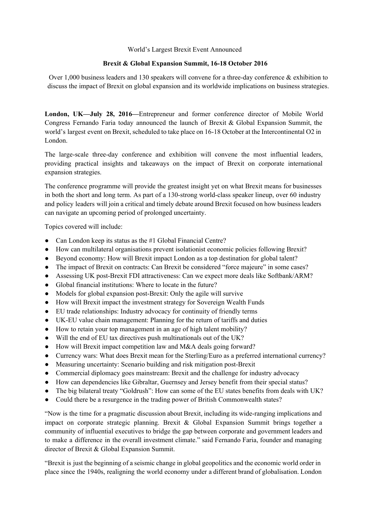## World's Largest Brexit Event Announced

## **Brexit & Global Expansion Summit, 1618 October 2016**

Over 1,000 business leaders and 130 speakers will convene for a three-day conference  $\&$  exhibition to discuss the impact of Brexit on global expansion and its worldwide implications on business strategies.

**London, UK—July 28, 2016—**Entrepreneur and former conference director of Mobile World Congress Fernando Faria today announced the launch of Brexit & Global Expansion Summit, the world's largest event on Brexit, scheduled to take place on 1618 October at the Intercontinental O2 in London.

The large-scale three-day conference and exhibition will convene the most influential leaders, providing practical insights and takeaways on the impact of Brexit on corporate international expansion strategies.

The conference programme will provide the greatest insight yet on what Brexit means for businesses in both the short and long term. As part of a 130-strong world-class speaker lineup, over 60 industry and policy leaders will join a critical and timely debate around Brexit focused on how business leaders can navigate an upcoming period of prolonged uncertainty.

Topics covered will include:

- Can London keep its status as the #1 Global Financial Centre?
- How can multilateral organisations prevent isolationist economic policies following Brexit?
- Beyond economy: How will Brexit impact London as a top destination for global talent?
- The impact of Brexit on contracts: Can Brexit be considered "force majeure" in some cases?
- Assessing UK post-Brexit FDI attractiveness: Can we expect more deals like Softbank/ARM?
- Global financial institutions: Where to locate in the future?
- $\bullet$  Models for global expansion post-Brexit: Only the agile will survive
- How will Brexit impact the investment strategy for Sovereign Wealth Funds
- EU trade relationships: Industry advocacy for continuity of friendly terms
- UK-EU value chain management: Planning for the return of tariffs and duties
- How to retain your top management in an age of high talent mobility?
- Will the end of EU tax directives push multinationals out of the UK?
- How will Brexit impact competition law and M&A deals going forward?
- Currency wars: What does Brexit mean for the Sterling/Euro as a preferred international currency?
- Measuring uncertainty: Scenario building and risk mitigation post-Brexit
- Commercial diplomacy goes mainstream: Brexit and the challenge for industry advocacy
- How can dependencies like Gibraltar, Guernsey and Jersey benefit from their special status?
- The big bilateral treaty "Goldrush": How can some of the EU states benefits from deals with UK?
- Could there be a resurgence in the trading power of British Commonwealth states?

"Now is the time for a pragmatic discussion about Brexit, including its wideranging implications and impact on corporate strategic planning. Brexit & Global Expansion Summit brings together a community of influential executives to bridge the gap between corporate and government leaders and to make a difference in the overall investment climate." said Fernando Faria, founder and managing director of Brexit & Global Expansion Summit.

"Brexit is just the beginning of a seismic change in global geopolitics and the economic world order in place since the 1940s, realigning the world economy under a different brand of globalisation. London